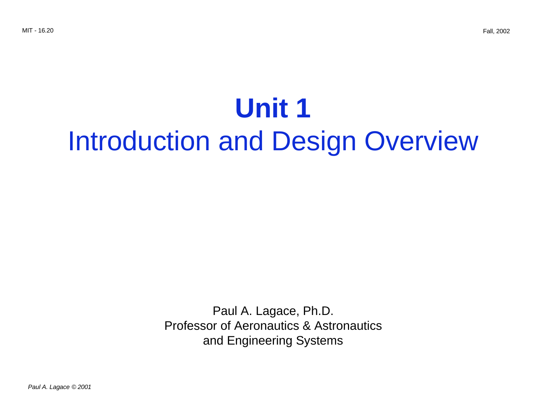# **Unit 1** Introduction and Design Overview

Paul A. Lagace, Ph.D. Professor of Aeronautics & Astronautics and Engineering Systems

Paul A. Lagace © 2001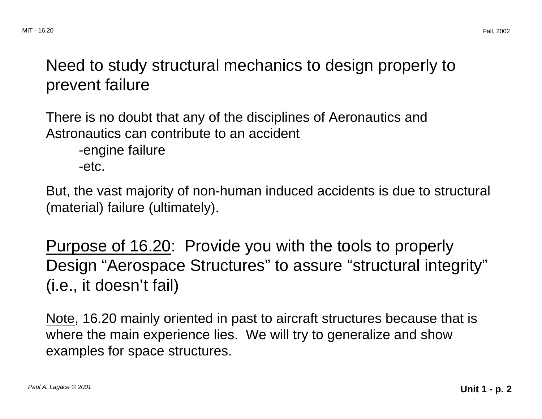### Need to study structural mechanics to design properly to prevent failure

There is no doubt that any of the disciplines of Aeronautics and Astronautics can contribute to an accident -engine failure -etc.

But, the vast majority of non-human induced accidents is due to structural (material) failure (ultimately).

Purpose of 16.20: Provide you with the tools to properly Design "Aerospace Structures" to assure "structural integrity" (i.e., it doesn't fail)

Note, 16.20 mainly oriented in past to aircraft structures because that is where the main experience lies. We will try to generalize and show examples for space structures.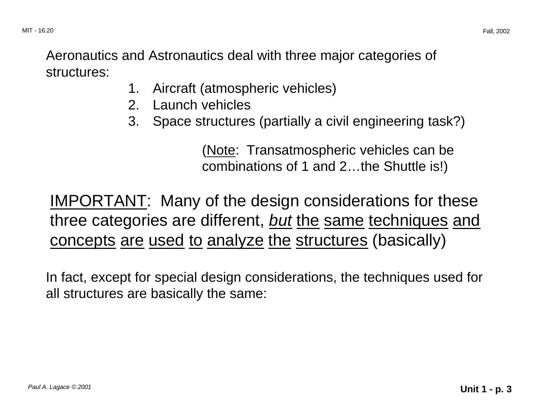Aeronautics and Astronautics deal with three major categories of structures:

- 1. Aircraft (atmospheric vehicles)
- 2. Launch vehicles
- 3. Space structures (partially a civil engineering task?)

(Note: Transatmospheric vehicles can be combinations of 1 and 2…the Shuttle is!)

IMPORTANT: Many of the design considerations for these three categories are different, but the same techniques and concepts are used to analyze the structures (basically)

In fact, except for special design considerations, the techniques used for all structures are basically the same: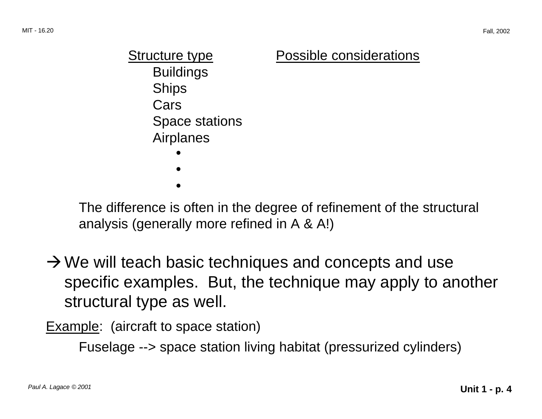Structure type **Possible considerations** Buildings **Ships** Cars Space stations Airplanes •••

The difference is often in the degree of refinement of the structural analysis (generally more refined in A & A!)

 $\rightarrow$  We will teach basic techniques and concepts and use specific examples. But, the technique may apply to another structural type as well.

Example: (aircraft to space station)

Fuselage --> space station living habitat (pressurized cylinders)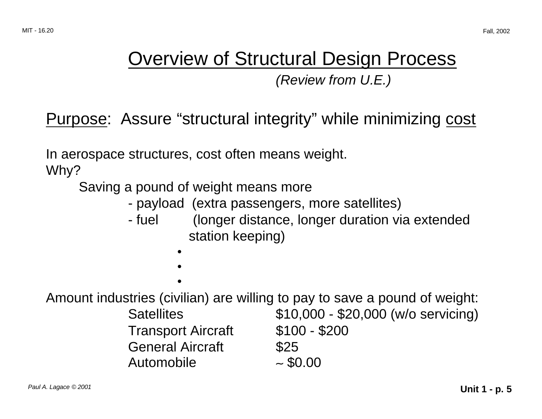## Overview of Structural Design Process

(Review from U.E.)

Purpose: Assure "structural integrity" while minimizing cost

In aerospace structures, cost often means weight.

Why?

Saving a pound of weight means more

- payload (extra passengers, more satellites)
- fuel (longer distance, longer duration via extended station keeping)

• •

•

Amount industries (civilian) are willing to pay to save a pound of weight:

Transport Aircraft \$100 - \$200 General Aircraft \$25 Automobile ∼ \$0.00

Satellites \$10,000 - \$20,000 (w/o servicing)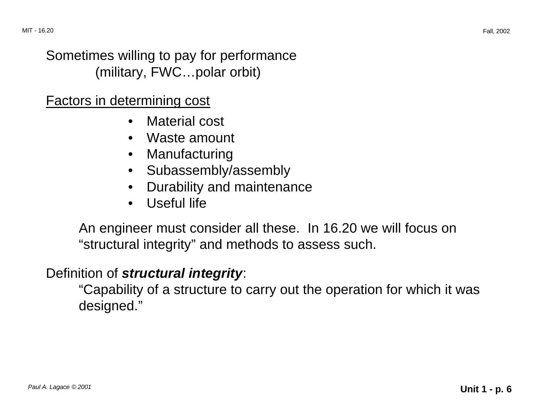#### Sometimes willing to pay for performance (military, FWC…polar orbit)

#### Factors in determining cost

- Material cost
- Waste amount
- Manufacturing
- Subassembly/assembly
- Durability and maintenance
- Useful life

An engineer must consider all these. In 16.20 we will focus on "structural integrity" and methods to assess such.

#### Definition of **structural integrity**:

"Capability of a structure to carry out the operation for which it was designed."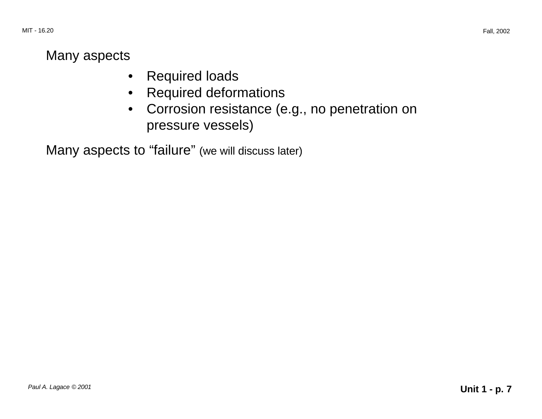#### Many aspects

- Required loads
- Required deformations
- • Corrosion resistance (e.g., no penetration on pressure vessels)

Many aspects to "failure" (we will discuss later)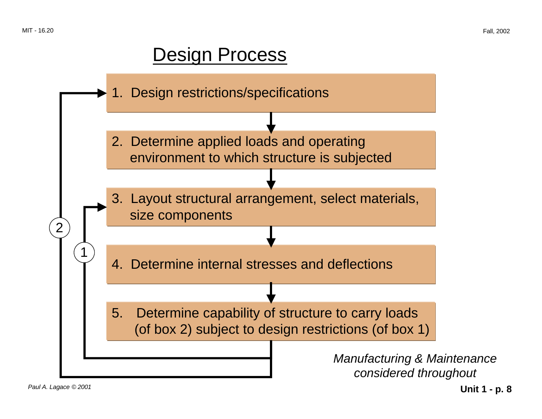## Design Process